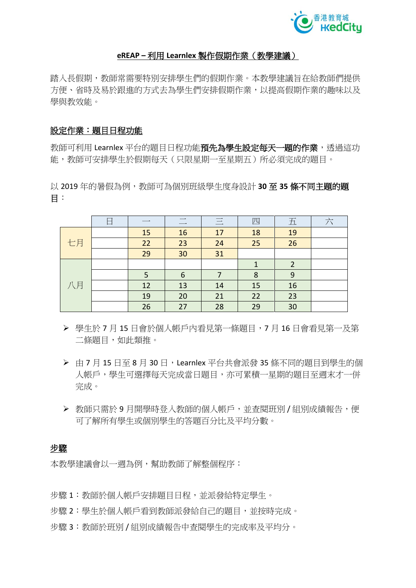

#### **eREAP –** 利用 **Learnlex** 製作假期作業(教學建議)

踏入長假期,教師常需要特別安排學生們的假期作業。本教學建議旨在給教師們提供 方便、省時及易於跟進的方式去為學生們安排假期作業,以提高假期作業的趣味以及 學與教效能。

### 設定作業:題目日程功能

教師可利用 Learnlex 平台的題目日程功能預先為學生設定每天一題的作業,透過這功 能,教師可安排學生於假期每天(只限星期一至星期五)所必須完成的題目。

以 2019 年的暑假為例,教師可為個別班級學生度身設計 **30** 至 **35** 條不同主題的題 目︰

|    | 口 |    | $\overline{\phantom{0}}$ | 三  | 四  | 五  | $\overline{X}$ |
|----|---|----|--------------------------|----|----|----|----------------|
| 七月 |   | 15 | 16                       | 17 | 18 | 19 |                |
|    |   | 22 | 23                       | 24 | 25 | 26 |                |
|    |   | 29 | 30                       | 31 |    |    |                |
| 八月 |   |    |                          |    | 1  | 2  |                |
|    |   | 5  | 6                        |    | 8  | 9  |                |
|    |   | 12 | 13                       | 14 | 15 | 16 |                |
|    |   | 19 | 20                       | 21 | 22 | 23 |                |
|    |   | 26 | 27                       | 28 | 29 | 30 |                |

- ▶ 學生於 7 月 15 日會於個人帳戶內看見第一條題目, 7 月 16 日會看見第一及第 二條題目,如此類推。
- ▶ 由 7 月 15 日至 8 月 30 日, Learnlex 平台共會派發 35 條不同的題目到學生的個 人帳戶,學生可選擇每天完成當日題目,亦可累積一星期的題目至週末才一併 完成。
- ▶ 教師只需於9月開學時登入教師的個人帳戶,並查閱班別 / 組別成績報告,便 可了解所有學生或個別學生的答題百分比及平均分數。

#### 步驟

本教學建議會以一调為例,幫助教師了解整個程序:

- 步驟 1:教師於個人帳戶安排題目日程,並派發給特定學生。
- 步驟 2︰學生於個人帳戶看到教師派發給自己的題目,並按時完成。
- 步驟 3︰教師於班別 / 組別成績報告中查閱學生的完成率及平均分。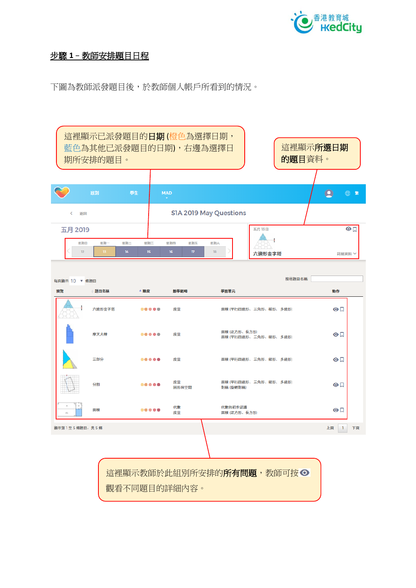

# 步驟 **1**–教師安排題目日程

下圖為教師派發題目後,於教師個人帳戶所看到的情況。

這裡顯示已派發題目的日期 (橙色為選擇日期, 這裡顯示所選日期 藍色為其他已派發題目的日期),右邊為選擇日 的題目資料。 期所安排的題目。 學生 **MAD**  $\bullet$  $\oplus$  \* S1A 2019 May Questions く 返回 五月 2019 五月13日  $\odot$ J. 星期日 星期 星期一 星期日 星期四 星期五 星期六  $\overline{12}$  $\overline{18}$ 六邊形金字塔 詳細資料 v 搜尋題目名稱 每頁顯示 10 ▼ 條題目 題目名稱 射學節塵 學習單元 動作 抽管 ▲難度 ÷ 六邊形金字塔 -----庶景 面積 (平行四邊形、 三角形、梯形、 多邊形)  $\odot$ 面積 (正方形、長方形) 摩天大樓  $\odot$ 度量 面積 (平行四邊形、 三角形、梯形、 多邊形) 三部分 度量 面積 (平行四邊形、 三角形、梯形、 多邊形)  $\odot$ 度量 面積 (平行四邊形、 三角形、梯形、 多邊形) 分割  $\odot$ 。<br>圖形與空間 對稱 (旋轉對稱) 代數 代數的初步認識 面積  $\odot$ 面積 (正方形、長方形) 度量 顯示第1至5條題目,共5條 上頁 1 下頁 這裡顯示教師於此組別所安排的所有問題,教師可按 觀看不同題目的詳細內容。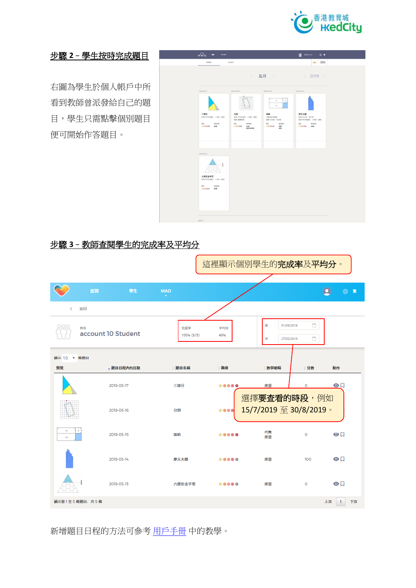

# 步驟 **2**–學生按時完成題目

右圖為學生於個人帳戶中所 看到教師曾派發給自己的題 目,學生只需點擊個別題目 便可開始作答題目。

| 每日期间                       | 86,81                                          |                                            | $O = 260$                              |  |
|----------------------------|------------------------------------------------|--------------------------------------------|----------------------------------------|--|
|                            |                                                | < 五月 >                                     | $\langle 2019 \rangle$                 |  |
| 2019-05-17                 | 2019-05-16                                     | 2019-05-15                                 | 2019-05-14                             |  |
|                            |                                                | ab                                         |                                        |  |
| 三部分<br>高楼(平行四路部、三角形、据形)    | 分割<br>高额(平行四级形、三角形、部形)<br><b>BHK ORNERHAND</b> | 面積<br>代数的初步搭置<br>画稿(正方形: 長方形)              | 摩天大樓<br>画展(正方形、長方形)<br>高橋(平行四線形、二角形、標形 |  |
| 当学部は<br>10000 ##           | ROBE<br>mg<br><br>床层<br><b>BENOR</b>           | ns<br><b><i>nyme</i></b><br>00000 代数<br>席景 | <b>MAX RTMA</b><br>99999 发生            |  |
|                            |                                                |                                            |                                        |  |
| 2019-05-13                 |                                                |                                            |                                        |  |
|                            |                                                |                                            |                                        |  |
| 六进形金字塔<br>画箱(平行四道形、三角形、都形) |                                                |                                            |                                        |  |
| mo:<br>見学研究<br>00000 89    |                                                |                                            |                                        |  |
|                            |                                                |                                            |                                        |  |
|                            |                                                |                                            |                                        |  |

# 步驟 **3**–教師查閱學生的完成率及平均分

|             |                          |                  |                   | 這裡顯示個別學生的完成率及平均分。                                                                                                  |                                                                              |             |                |
|-------------|--------------------------|------------------|-------------------|--------------------------------------------------------------------------------------------------------------------|------------------------------------------------------------------------------|-------------|----------------|
|             | 班別                       | 學生               | <b>MAD</b><br>٠   |                                                                                                                    |                                                                              |             | (一) 案<br>o     |
| k.          | 返回                       |                  |                   |                                                                                                                    |                                                                              |             |                |
|             | 姓名<br>account 10 Student |                  | 完成率<br>100% (5/5) | 平均分<br>40%                                                                                                         | 01/09/2018<br>從<br>華<br>27/05/2019                                           | 目<br>$\Box$ |                |
| 顯示 10 ▼ 條題目 |                          |                  |                   |                                                                                                                    |                                                                              |             |                |
| 预覧          |                          | <b>、题目日程内的日期</b> | 题目名稱              | 難度                                                                                                                 | 數學範疇                                                                         | 分数          | 動作             |
|             |                          | 2019-05-17       | 三部分               | $\begin{array}{ccccccccccccccccc} \bullet & \bullet & \bullet & \bullet & \bullet & \bullet & \bullet \end{array}$ | 度量                                                                           | o           | $\odot$        |
|             |                          | 2019-05-16       | 分割                | $\begin{array}{ccc} \bullet & \bullet & \bullet & \bullet \end{array}$                                             | 選擇要查看的時段,例如<br>15/7/2019 $\overline{\mathfrak{D}}$ 30/8/2019 $\overline{\ }$ |             |                |
| 156         |                          | 2019-05-15       | 面積                |                                                                                                                    | 代数<br>度量                                                                     | $\circ$     | $\odot$        |
|             |                          | 2019-05-14       | 摩天大樓              |                                                                                                                    | 度量                                                                           | 100         | $\odot$        |
|             |                          | 2019-05-13       | 六邊形金字塔            | $\begin{array}{ccccccccccccccccc} \bullet & \bullet & \bullet & \bullet & \bullet & \bullet & \bullet \end{array}$ | 度量                                                                           | $\circ$     | $\odot$        |
|             | 顯示第1至5條題目,共5條            |                  |                   |                                                                                                                    |                                                                              |             | 上頁<br>下頁<br>-1 |

新增題目日程的方法可參考 [用戶手冊](https://www.hkedcity.net/ereap/zh-hant/learnlex#field-tab-tab-2) 中的教學。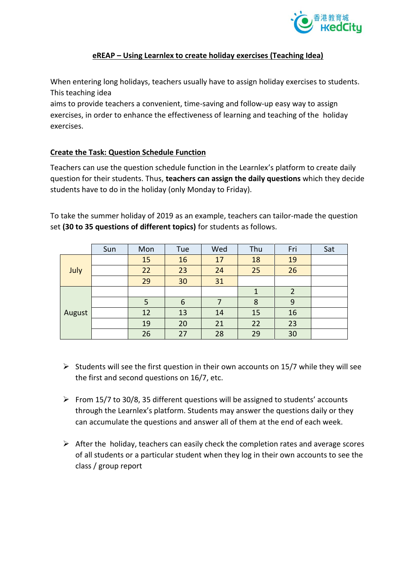

#### **eREAP – Using Learnlex to create holiday exercises (Teaching Idea)**

When entering long holidays, teachers usually have to assign holiday exercises to students. This teaching idea

aims to provide teachers a convenient, time-saving and follow-up easy way to assign exercises, in order to enhance the effectiveness of learning and teaching of the holiday exercises.

#### **Create the Task: Question Schedule Function**

Teachers can use the question schedule function in the Learnlex's platform to create daily question for their students. Thus, **teachers can assign the daily questions** which they decide students have to do in the holiday (only Monday to Friday).

To take the summer holiday of 2019 as an example, teachers can tailor-made the question set **(30 to 35 questions of different topics)** for students as follows.

|        | Sun | Mon | Tue | Wed | Thu | Fri | Sat |
|--------|-----|-----|-----|-----|-----|-----|-----|
| July   |     | 15  | 16  | 17  | 18  | 19  |     |
|        |     | 22  | 23  | 24  | 25  | 26  |     |
|        |     | 29  | 30  | 31  |     |     |     |
| August |     |     |     |     |     | 2   |     |
|        |     | 5   | 6   |     | 8   | 9   |     |
|        |     | 12  | 13  | 14  | 15  | 16  |     |
|        |     | 19  | 20  | 21  | 22  | 23  |     |
|        |     | 26  | 27  | 28  | 29  | 30  |     |

- $\triangleright$  Students will see the first question in their own accounts on 15/7 while they will see the first and second questions on 16/7, etc.
- $\triangleright$  From 15/7 to 30/8, 35 different questions will be assigned to students' accounts through the Learnlex's platform. Students may answer the questions daily or they can accumulate the questions and answer all of them at the end of each week.
- $\triangleright$  After the holiday, teachers can easily check the completion rates and average scores of all students or a particular student when they log in their own accounts to see the class / group report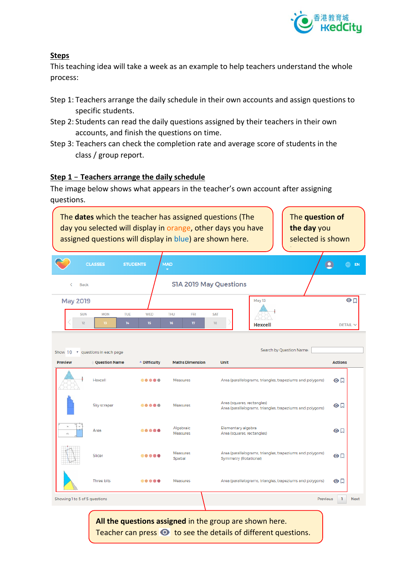

## **Steps**

This teaching idea will take a week as an example to help teachers understand the whole process:

- Step 1: Teachers arrange the daily schedule in their own accounts and assign questions to specific students.
- Step 2: Students can read the daily questions assigned by their teachers in their own accounts, and finish the questions on time.
- Step 3: Teachers can check the completion rate and average score of students in the class / group report.

### **Step 1**–**Teachers arrange the daily schedule**

The image below shows what appears in the teacher's own account after assigning questions.



**All the questions assigned** in the group are shown here. Teacher can press  $\bullet\;$  to see the details of different questions.